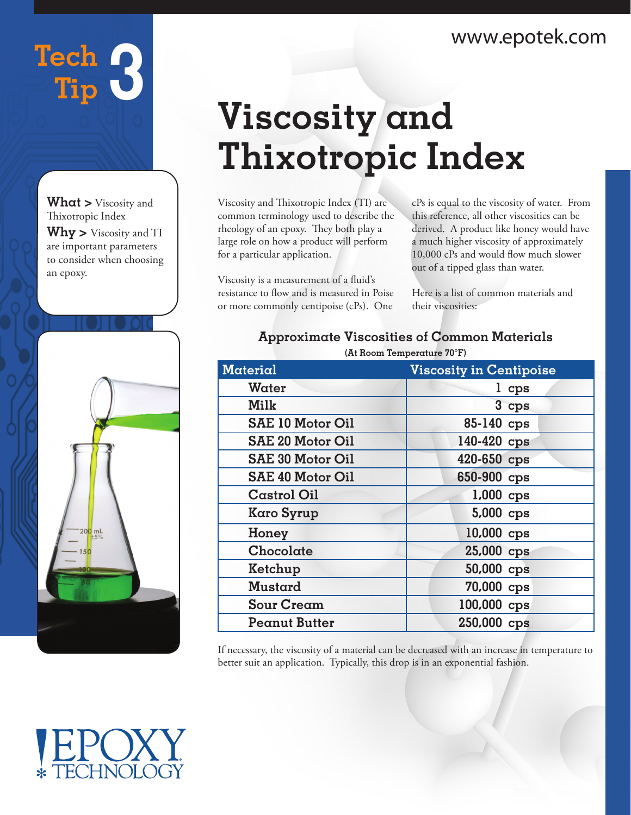### www.epotek.com

## Tech **3 Tip**

**What >** Viscosity and Thixotropic Index **Why >** Viscosity and TI are important parameters to consider when choosing an epoxy.



# **Viscosity and Thixotropic Index**

Viscosity and Thixotropic Index (TI) are common terminology used to describe the rheology of an epoxy. They both play a large role on how a product will perform for a particular application.

Viscosity is a measurement of a fluid's resistance to flow and is measured in Poise or more commonly centipoise (cPs). One

cPs is equal to the viscosity of water. From this reference, all other viscosities can be derived. A product like honey would have a much higher viscosity of approximately 10,000 cPs and would flow much slower out of a tipped glass than water.

Here is a list of common materials and their viscosities:

#### **Approximate Viscosities of Common Materials (At Room Temperature 70°F)**

| Material                | <b>Viscosity in Centipoise</b> |
|-------------------------|--------------------------------|
| Water                   | l cps                          |
| Milk                    | 3 cps                          |
| <b>SAE 10 Motor Oil</b> | 85-140 cps                     |
| SAE 20 Motor Oil        | 140-420 cps                    |
| <b>SAE 30 Motor Oil</b> | 420-650 cps                    |
| <b>SAE 40 Motor Oil</b> | 650-900 cps                    |
| <b>Castrol Oil</b>      | 1,000 cps                      |
| Karo Syrup              | 5,000 cps                      |
| Honey                   | 10,000 cps                     |
| Chocolate               | 25,000 cps                     |
| Ketchup                 | 50,000 cps                     |
| Mustard                 | 70,000 cps                     |
| <b>Sour Cream</b>       | 100,000 cps                    |
| Peanut Butter           | 250,000 cps                    |
|                         |                                |

If necessary, the viscosity of a material can be decreased with an increase in temperature to better suit an application. Typically, this drop is in an exponential fashion.